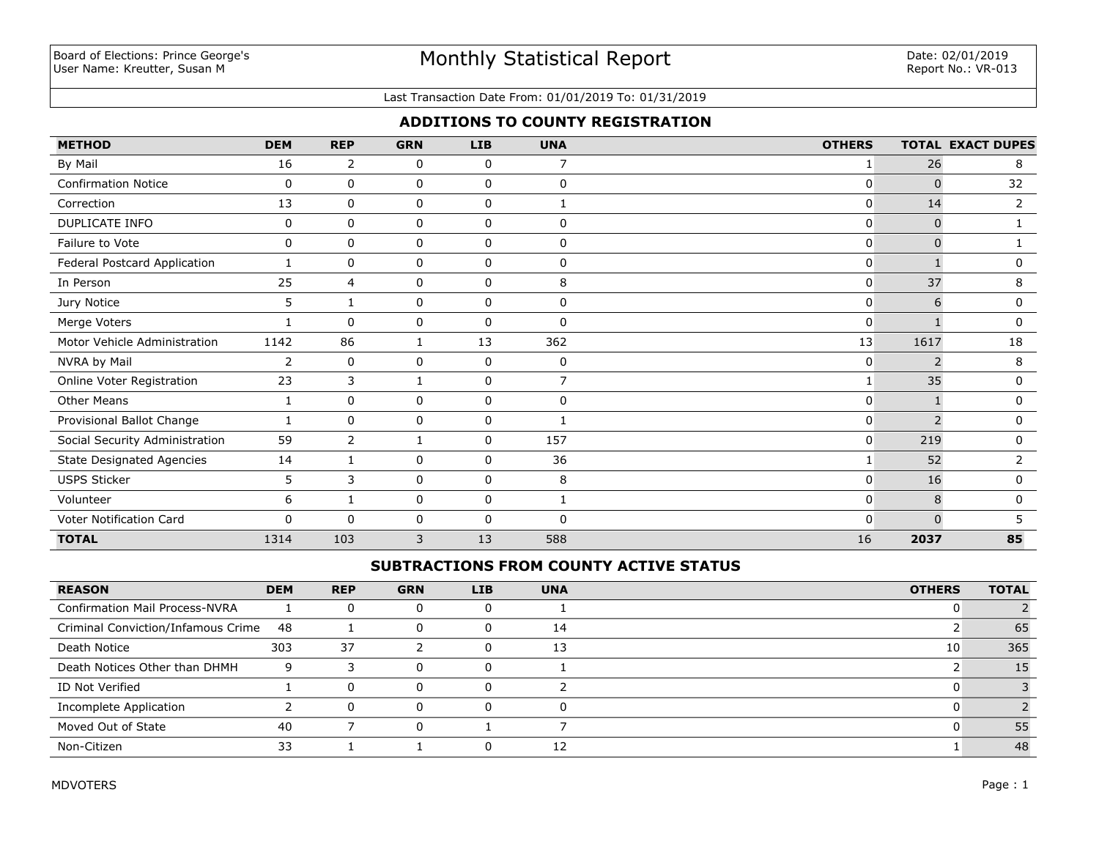### Last Transaction Date From: 01/01/2019 To: 01/31/2019

# **ADDITIONS TO COUNTY REGISTRATION**

| <b>METHOD</b>                    | <b>DEM</b>  | <b>REP</b>     | <b>GRN</b> | <b>LIB</b>   | <b>UNA</b>     | <b>OTHERS</b> |          | <b>TOTAL EXACT DUPES</b> |
|----------------------------------|-------------|----------------|------------|--------------|----------------|---------------|----------|--------------------------|
| By Mail                          | 16          | 2              | 0          | 0            | 7              | 1             | 26       | 8                        |
| <b>Confirmation Notice</b>       | 0           | $\mathbf 0$    | 0          | 0            | $\mathbf 0$    | $\Omega$      | $\Omega$ | 32                       |
| Correction                       | 13          | $\mathbf 0$    | 0          | 0            |                | 0             | 14       | $\overline{2}$           |
| DUPLICATE INFO                   | 0           | $\mathbf 0$    | 0          | $\mathbf 0$  | $\mathbf 0$    | 0             | $\Omega$ |                          |
| Failure to Vote                  | 0           | 0              | 0          | $\mathbf 0$  | 0              | 0             | $\Omega$ |                          |
| Federal Postcard Application     | 1           | $\mathbf 0$    | 0          | $\mathbf 0$  | $\mathbf 0$    | 0             |          | 0                        |
| In Person                        | 25          | 4              | 0          | 0            | 8              | 0             | 37       | 8                        |
| Jury Notice                      | 5           | 1              | 0          | $\mathbf 0$  | $\mathbf 0$    | 0             | 6        | 0                        |
| Merge Voters                     |             | $\mathbf 0$    | 0          | 0            | $\mathbf 0$    | 0             |          | 0                        |
| Motor Vehicle Administration     | 1142        | 86             | 1          | 13           | 362            | 13            | 1617     | 18                       |
| NVRA by Mail                     | 2           | $\mathbf 0$    | 0          | 0            | 0              | 0             |          | 8                        |
| Online Voter Registration        | 23          | 3              | 1          | $\Omega$     | $\overline{7}$ | 1             | 35       | 0                        |
| <b>Other Means</b>               | 1           | $\mathbf 0$    | 0          | $\mathbf 0$  | $\mathbf 0$    | 0             |          | 0                        |
| Provisional Ballot Change        |             | $\mathbf{0}$   | 0          | 0            |                | $\Omega$      |          | 0                        |
| Social Security Administration   | 59          | $\overline{2}$ | 1          | $\mathbf 0$  | 157            | 0             | 219      | 0                        |
| <b>State Designated Agencies</b> | 14          | 1              | 0          | $\Omega$     | 36             | 1             | 52       | $\overline{2}$           |
| <b>USPS Sticker</b>              | 5           | 3              | 0          | $\mathbf 0$  | 8              | 0             | 16       | 0                        |
| Volunteer                        | 6           | 1              | 0          | $\mathbf 0$  |                | 0             | 8        | 0                        |
| Voter Notification Card          | $\mathbf 0$ | $\Omega$       | 0          | $\mathbf{0}$ | $\Omega$       | 0             | $\Omega$ |                          |
| <b>TOTAL</b>                     | 1314        | 103            | 3          | 13           | 588            | 16            | 2037     | 85                       |

## **SUBTRACTIONS FROM COUNTY ACTIVE STATUS**

| <b>REASON</b>                         | <b>DEM</b> | <b>REP</b> | <b>GRN</b> | <b>LIB</b> | <b>UNA</b> | <b>OTHERS</b> | <b>TOTAL</b> |
|---------------------------------------|------------|------------|------------|------------|------------|---------------|--------------|
| <b>Confirmation Mail Process-NVRA</b> |            | $\Omega$   |            |            |            |               |              |
| Criminal Conviction/Infamous Crime    | -48        |            |            |            | 14         |               | 65           |
| Death Notice                          | 303        | 37         |            |            | 13         | 10            | 365          |
| Death Notices Other than DHMH         | 9          |            |            |            |            |               |              |
| ID Not Verified                       |            | $\Omega$   |            |            |            |               |              |
| Incomplete Application                |            | $\Omega$   | n.         |            | 0          |               |              |
| Moved Out of State                    | 40         |            |            |            |            |               | 55           |
| Non-Citizen                           | 33         |            |            |            | 12         |               | 48           |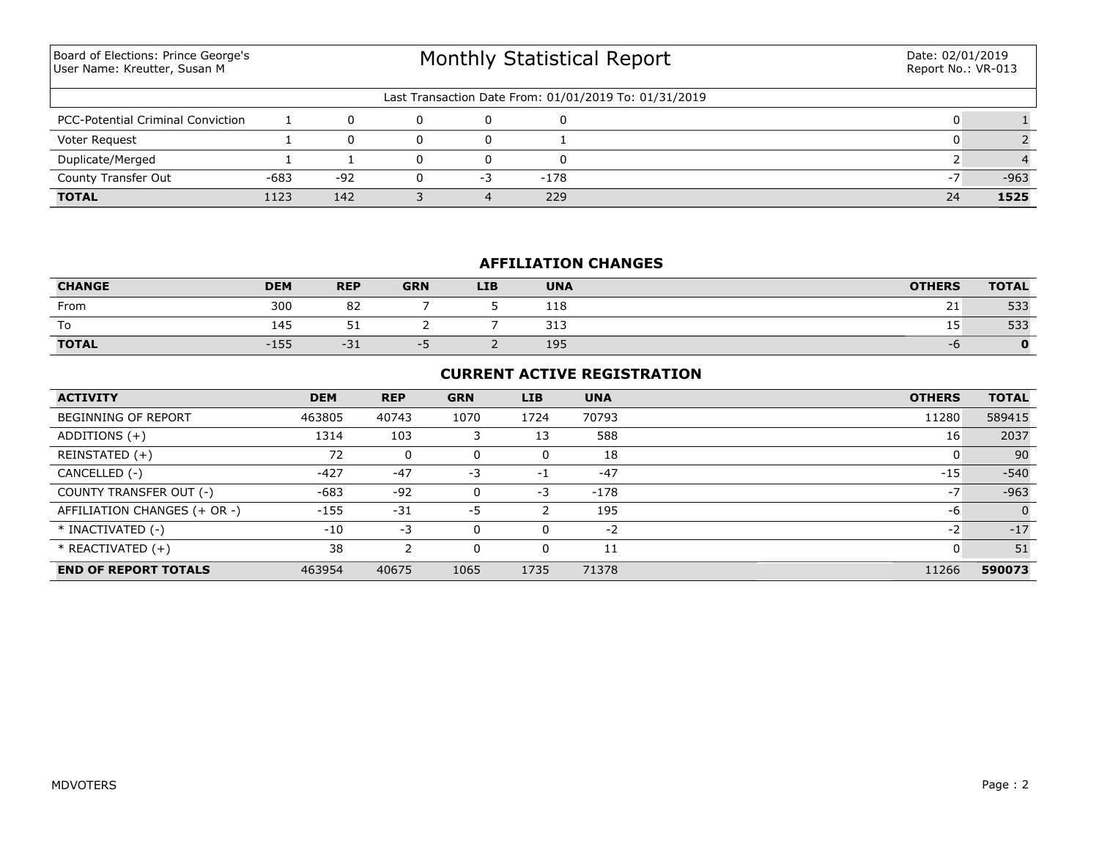Monthly Statistical Report Last Transaction Date From: 01/01/2019 To: 01/31/2019 Board of Elections: Prince George's User Name: Kreutter, Susan M Date: 02/01/2019 Report No.: VR-013 PCC-Potential Criminal Conviction  $\begin{array}{ccccccc} & & & 1 & & 0 & & 0 & & 0 & & 0 & & 1 \end{array}$ Voter Request 1 0 0 0 1 0 2 **TOTAL** 1123 142 3 4 229 24 **1525** County Transfer Out  $-683$   $-92$  0  $-3$   $-178$  -178 -7  $-963$ Duplicate/Merged 1 1 0 0 0 0 2 4

## **AFFILIATION CHANGES**

| <b>CHANGE</b> | <b>DEM</b> | <b>REP</b>  | <b>GRN</b> | <b>LIB</b> | <b>UNA</b> | <b>OTHERS</b> | <b>TOTAL</b> |
|---------------|------------|-------------|------------|------------|------------|---------------|--------------|
| From          | 300        | 82          |            |            | 118        | 21            | 533          |
| To            | 145        | - -<br>ັບ ⊥ |            |            | 313        | ᅩ             | 533          |
| <b>TOTAL</b>  | $-155$     | $-31$       | --         |            | 195        | $-0$          | 0            |

### **CURRENT ACTIVE REGISTRATION**

| <b>ACTIVITY</b>              | <b>DEM</b> | <b>REP</b> | <b>GRN</b> | <b>LIB</b> | <b>UNA</b> | <b>OTHERS</b> | <b>TOTAL</b>   |
|------------------------------|------------|------------|------------|------------|------------|---------------|----------------|
| <b>BEGINNING OF REPORT</b>   | 463805     | 40743      | 1070       | 1724       | 70793      | 11280         | 589415         |
| ADDITIONS $(+)$              | 1314       | 103        |            | 13         | 588        | 16            | 2037           |
| REINSTATED (+)               | 72         | 0          |            | 0          | 18         |               | 90             |
| CANCELLED (-)                | $-427$     | $-47$      | -3         | $-1$       | $-47$      | $-15$         | $-540$         |
| COUNTY TRANSFER OUT (-)      | $-683$     | $-92$      |            | -3         | $-178$     | $-7$          | $-963$         |
| AFFILIATION CHANGES (+ OR -) | $-155$     | $-31$      | -5         |            | 195        | -6            | $\overline{0}$ |
| * INACTIVATED (-)            | $-10$      | -3         |            | 0          | -2         | $-2$          | $-17$          |
| $*$ REACTIVATED $(+)$        | 38         |            |            | 0          | 11         |               | 51             |
| <b>END OF REPORT TOTALS</b>  | 463954     | 40675      | 1065       | 1735       | 71378      | 11266         | 590073         |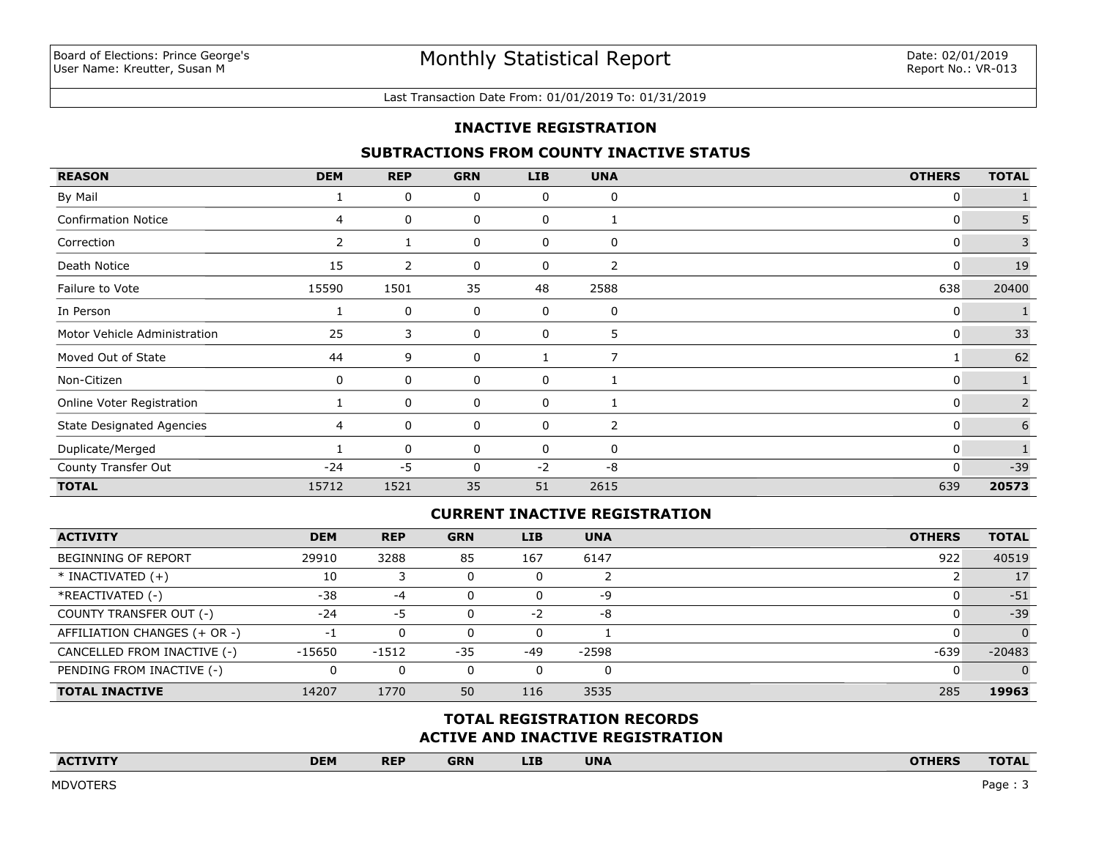#### Last Transaction Date From: 01/01/2019 To: 01/31/2019

### **INACTIVE REGISTRATION**

### **SUBTRACTIONS FROM COUNTY INACTIVE STATUS**

| <b>REASON</b>                    | <b>DEM</b>   | <b>REP</b> | <b>GRN</b> | <b>LIB</b> | <b>UNA</b>     | <b>OTHERS</b> | <b>TOTAL</b> |
|----------------------------------|--------------|------------|------------|------------|----------------|---------------|--------------|
| By Mail                          |              | 0          | 0          | 0          | 0              | 0             |              |
| <b>Confirmation Notice</b>       | 4            | 0          | 0          | 0          |                | 0             | 5            |
| Correction                       | $\mathbf{2}$ |            | 0          | 0          | 0              | 0             | 3            |
| Death Notice                     | 15           | 2          | 0          | 0          | $\overline{2}$ | 0             | 19           |
| Failure to Vote                  | 15590        | 1501       | 35         | 48         | 2588           | 638           | 20400        |
| In Person                        |              | 0          | 0          | 0          | 0              | 0             |              |
| Motor Vehicle Administration     | 25           | 3          | 0          | 0          | 5              | 0             | 33           |
| Moved Out of State               | 44           | 9          | 0          |            | 7              |               | 62           |
| Non-Citizen                      | $\Omega$     | 0          | 0          | 0          | 1              | 0             |              |
| Online Voter Registration        |              | 0          | 0          | 0          |                | 0             | 2            |
| <b>State Designated Agencies</b> | 4            | 0          | 0          | 0          | 2              | 0             | 6            |
| Duplicate/Merged                 |              | 0          | 0          | 0          | 0              | 0             |              |
| County Transfer Out              | $-24$        | $-5$       | 0          | $-2$       | $-8$           | $\mathbf{0}$  | $-39$        |
| <b>TOTAL</b>                     | 15712        | 1521       | 35         | 51         | 2615           | 639           | 20573        |

## **CURRENT INACTIVE REGISTRATION**

| <b>ACTIVITY</b>              | <b>DEM</b> | <b>REP</b> | <b>GRN</b> | <b>LIB</b> | <b>UNA</b>   | <b>OTHERS</b> | <b>TOTAL</b> |
|------------------------------|------------|------------|------------|------------|--------------|---------------|--------------|
| BEGINNING OF REPORT          | 29910      | 3288       | 85         | 167        | 6147         | 922           | 40519        |
| $*$ INACTIVATED $(+)$        | 10         |            |            |            |              |               | 17           |
| *REACTIVATED (-)             | $-38$      | -4         |            |            | -9           |               | $-51$        |
| COUNTY TRANSFER OUT (-)      | $-24$      | -5         |            | $-2$       | -8           |               | $-39$        |
| AFFILIATION CHANGES (+ OR -) | -1         | $\Omega$   |            | 0          |              |               | $\Omega$     |
| CANCELLED FROM INACTIVE (-)  | -15650     | -1512      | $-35$      | $-49$      | $-2598$      | $-639$        | $-20483$     |
| PENDING FROM INACTIVE (-)    | 0          | $\Omega$   |            |            | <sup>0</sup> |               |              |
| <b>TOTAL INACTIVE</b>        | 14207      | 1770       | 50         | 116        | 3535         | 285           | 19963        |

## **ACTIVE AND INACTIVE REGISTRATION TOTAL REGISTRATION RECORDS**

| <b>ACTIVITY</b><br>the company's company's company's company's company's company's | <b>DEM</b> | <b>REP</b> | <b>GRN</b> | <b>LIB</b> | <b>UNA</b> | <b>OTHERS</b> | <b>TOTAL</b> |
|------------------------------------------------------------------------------------|------------|------------|------------|------------|------------|---------------|--------------|
|                                                                                    |            |            |            |            |            |               |              |